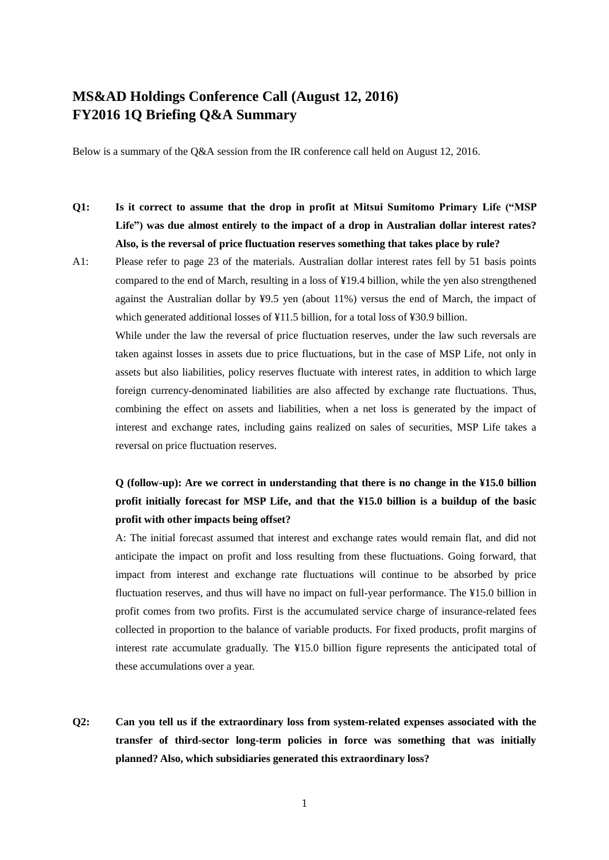# **MS&AD Holdings Conference Call (August 12, 2016) FY2016 1Q Briefing Q&A Summary**

Below is a summary of the Q&A session from the IR conference call held on August 12, 2016.

- **Q1: Is it correct to assume that the drop in profit at Mitsui Sumitomo Primary Life ("MSP Life") was due almost entirely to the impact of a drop in Australian dollar interest rates? Also, is the reversal of price fluctuation reserves something that takes place by rule?**
- A1: Please refer to page 23 of the materials. Australian dollar interest rates fell by 51 basis points compared to the end of March, resulting in a loss of ¥19.4 billion, while the yen also strengthened against the Australian dollar by ¥9.5 yen (about 11%) versus the end of March, the impact of which generated additional losses of ¥11.5 billion, for a total loss of ¥30.9 billion.

While under the law the reversal of price fluctuation reserves, under the law such reversals are taken against losses in assets due to price fluctuations, but in the case of MSP Life, not only in assets but also liabilities, policy reserves fluctuate with interest rates, in addition to which large foreign currency-denominated liabilities are also affected by exchange rate fluctuations. Thus, combining the effect on assets and liabilities, when a net loss is generated by the impact of interest and exchange rates, including gains realized on sales of securities, MSP Life takes a reversal on price fluctuation reserves.

### **Q (follow-up): Are we correct in understanding that there is no change in the ¥15.0 billion profit initially forecast for MSP Life, and that the ¥15.0 billion is a buildup of the basic profit with other impacts being offset?**

A: The initial forecast assumed that interest and exchange rates would remain flat, and did not anticipate the impact on profit and loss resulting from these fluctuations. Going forward, that impact from interest and exchange rate fluctuations will continue to be absorbed by price fluctuation reserves, and thus will have no impact on full-year performance. The ¥15.0 billion in profit comes from two profits. First is the accumulated service charge of insurance-related fees collected in proportion to the balance of variable products. For fixed products, profit margins of interest rate accumulate gradually. The ¥15.0 billion figure represents the anticipated total of these accumulations over a year.

**Q2: Can you tell us if the extraordinary loss from system-related expenses associated with the transfer of third-sector long-term policies in force was something that was initially planned? Also, which subsidiaries generated this extraordinary loss?**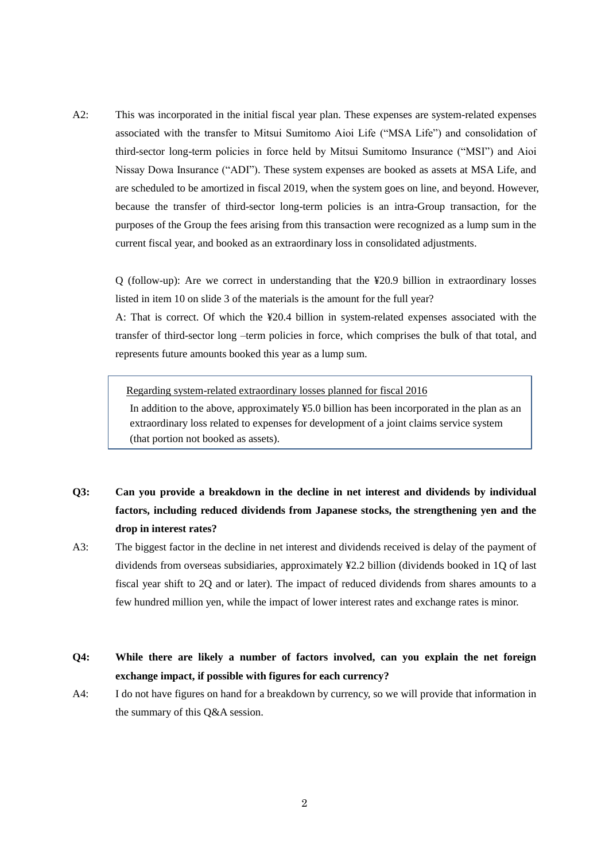A2: This was incorporated in the initial fiscal year plan. These expenses are system-related expenses associated with the transfer to Mitsui Sumitomo Aioi Life ("MSA Life") and consolidation of third-sector long-term policies in force held by Mitsui Sumitomo Insurance ("MSI") and Aioi Nissay Dowa Insurance ("ADI"). These system expenses are booked as assets at MSA Life, and are scheduled to be amortized in fiscal 2019, when the system goes on line, and beyond. However, because the transfer of third-sector long-term policies is an intra-Group transaction, for the purposes of the Group the fees arising from this transaction were recognized as a lump sum in the current fiscal year, and booked as an extraordinary loss in consolidated adjustments.

Q (follow-up): Are we correct in understanding that the ¥20.9 billion in extraordinary losses listed in item 10 on slide 3 of the materials is the amount for the full year?

A: That is correct. Of which the ¥20.4 billion in system-related expenses associated with the transfer of third-sector long –term policies in force, which comprises the bulk of that total, and represents future amounts booked this year as a lump sum.

Regarding system-related extraordinary losses planned for fiscal 2016

In addition to the above, approximately ¥5.0 billion has been incorporated in the plan as an extraordinary loss related to expenses for development of a joint claims service system (that portion not booked as assets).

- **Q3: Can you provide a breakdown in the decline in net interest and dividends by individual factors, including reduced dividends from Japanese stocks, the strengthening yen and the drop in interest rates?**
- A3: The biggest factor in the decline in net interest and dividends received is delay of the payment of dividends from overseas subsidiaries, approximately ¥2.2 billion (dividends booked in 1Q of last fiscal year shift to 2Q and or later). The impact of reduced dividends from shares amounts to a few hundred million yen, while the impact of lower interest rates and exchange rates is minor.
- **Q4: While there are likely a number of factors involved, can you explain the net foreign exchange impact, if possible with figures for each currency?**
- A4: I do not have figures on hand for a breakdown by currency, so we will provide that information in the summary of this Q&A session.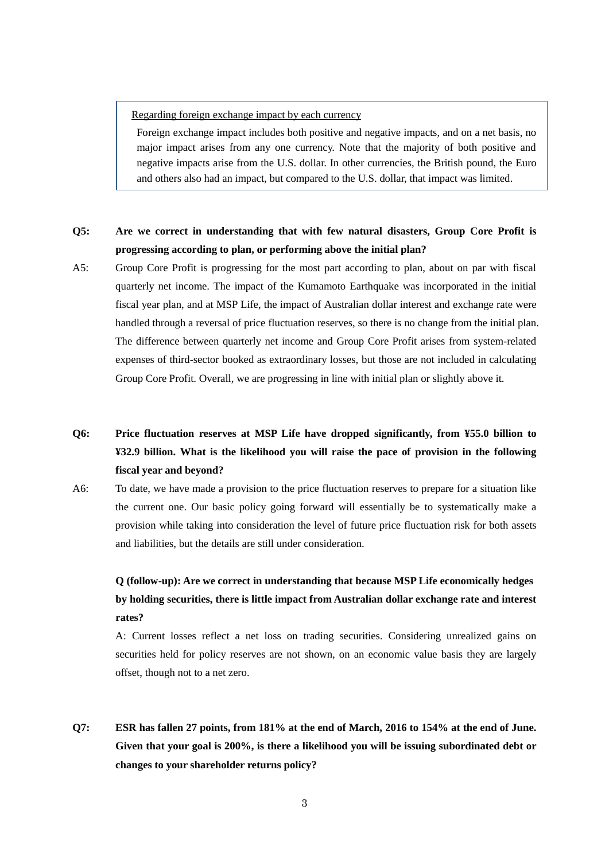#### Regarding foreign exchange impact by each currency

Foreign exchange impact includes both positive and negative impacts, and on a net basis, no major impact arises from any one currency. Note that the majority of both positive and negative impacts arise from the U.S. dollar. In other currencies, the British pound, the Euro and others also had an impact, but compared to the U.S. dollar, that impact was limited.

#### **Q5: Are we correct in understanding that with few natural disasters, Group Core Profit is progressing according to plan, or performing above the initial plan?**

A5: Group Core Profit is progressing for the most part according to plan, about on par with fiscal quarterly net income. The impact of the Kumamoto Earthquake was incorporated in the initial fiscal year plan, and at MSP Life, the impact of Australian dollar interest and exchange rate were handled through a reversal of price fluctuation reserves, so there is no change from the initial plan. The difference between quarterly net income and Group Core Profit arises from system-related expenses of third-sector booked as extraordinary losses, but those are not included in calculating Group Core Profit. Overall, we are progressing in line with initial plan or slightly above it.

## **Q6: Price fluctuation reserves at MSP Life have dropped significantly, from ¥55.0 billion to ¥32.9 billion. What is the likelihood you will raise the pace of provision in the following fiscal year and beyond?**

A6: To date, we have made a provision to the price fluctuation reserves to prepare for a situation like the current one. Our basic policy going forward will essentially be to systematically make a provision while taking into consideration the level of future price fluctuation risk for both assets and liabilities, but the details are still under consideration.

## **Q (follow-up): Are we correct in understanding that because MSP Life economically hedges by holding securities, there is little impact from Australian dollar exchange rate and interest rates?**

A: Current losses reflect a net loss on trading securities. Considering unrealized gains on securities held for policy reserves are not shown, on an economic value basis they are largely offset, though not to a net zero.

**Q7: ESR has fallen 27 points, from 181% at the end of March, 2016 to 154% at the end of June. Given that your goal is 200%, is there a likelihood you will be issuing subordinated debt or changes to your shareholder returns policy?**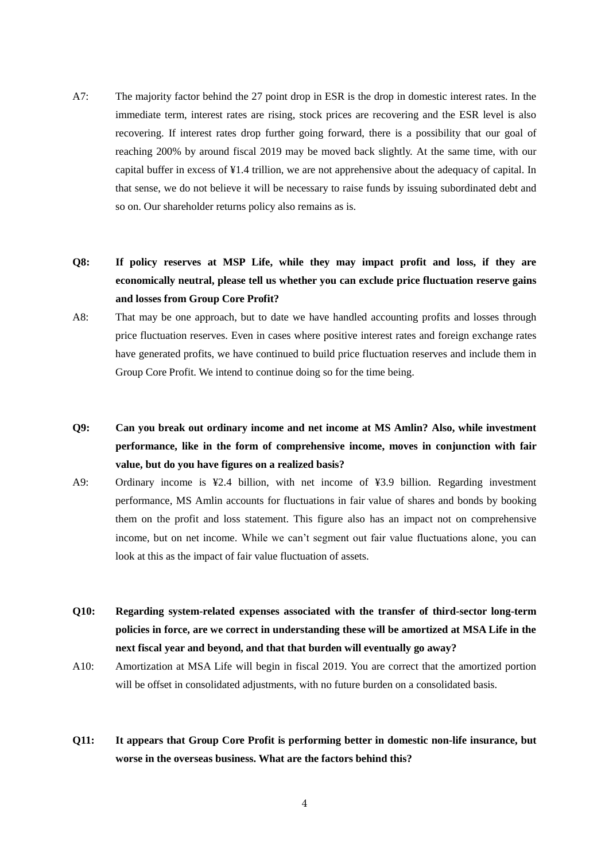- A7: The majority factor behind the 27 point drop in ESR is the drop in domestic interest rates. In the immediate term, interest rates are rising, stock prices are recovering and the ESR level is also recovering. If interest rates drop further going forward, there is a possibility that our goal of reaching 200% by around fiscal 2019 may be moved back slightly. At the same time, with our capital buffer in excess of ¥1.4 trillion, we are not apprehensive about the adequacy of capital. In that sense, we do not believe it will be necessary to raise funds by issuing subordinated debt and so on. Our shareholder returns policy also remains as is.
- **Q8: If policy reserves at MSP Life, while they may impact profit and loss, if they are economically neutral, please tell us whether you can exclude price fluctuation reserve gains and losses from Group Core Profit?**
- A8: That may be one approach, but to date we have handled accounting profits and losses through price fluctuation reserves. Even in cases where positive interest rates and foreign exchange rates have generated profits, we have continued to build price fluctuation reserves and include them in Group Core Profit. We intend to continue doing so for the time being.
- **Q9: Can you break out ordinary income and net income at MS Amlin? Also, while investment performance, like in the form of comprehensive income, moves in conjunction with fair value, but do you have figures on a realized basis?**
- A9: Ordinary income is ¥2.4 billion, with net income of ¥3.9 billion. Regarding investment performance, MS Amlin accounts for fluctuations in fair value of shares and bonds by booking them on the profit and loss statement. This figure also has an impact not on comprehensive income, but on net income. While we can't segment out fair value fluctuations alone, you can look at this as the impact of fair value fluctuation of assets.
- **Q10: Regarding system-related expenses associated with the transfer of third-sector long-term policies in force, are we correct in understanding these will be amortized at MSA Life in the next fiscal year and beyond, and that that burden will eventually go away?**
- A10: Amortization at MSA Life will begin in fiscal 2019. You are correct that the amortized portion will be offset in consolidated adjustments, with no future burden on a consolidated basis.
- **Q11: It appears that Group Core Profit is performing better in domestic non-life insurance, but worse in the overseas business. What are the factors behind this?**